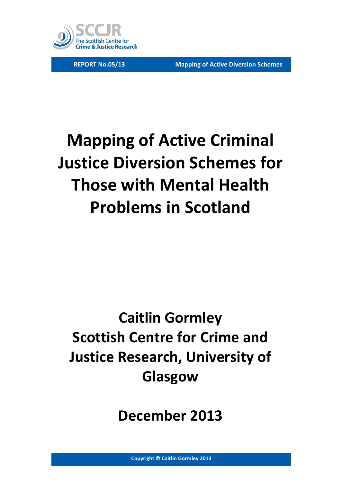

# **Mapping of Active Criminal Justice Diversion Schemes for Those with Mental Health Problems in Scotland**

# **Caitlin Gormley Scottish Centre for Crime and Justice Research, University of Glasgow**

**December 2013**

**Copyright © Caitlin Gormley 2013**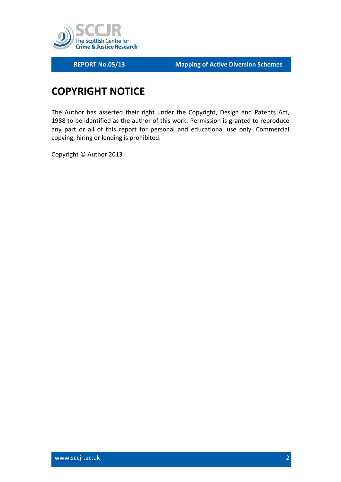

## <span id="page-1-0"></span>**COPYRIGHT NOTICE**

The Author has asserted their right under the Copyright, Design and Patents Act, 1988 to be identified as the author of this work. Permission is granted to reproduce any part or all of this report for personal and educational use only. Commercial copying, hiring or lending is prohibited.

Copyright © Author 2013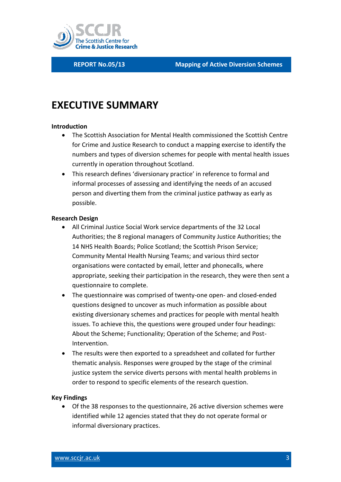

## <span id="page-2-0"></span>**EXECUTIVE SUMMARY**

#### **Introduction**

- The Scottish Association for Mental Health commissioned the Scottish Centre for Crime and Justice Research to conduct a mapping exercise to identify the numbers and types of diversion schemes for people with mental health issues currently in operation throughout Scotland.
- This research defines 'diversionary practice' in reference to formal and informal processes of assessing and identifying the needs of an accused person and diverting them from the criminal justice pathway as early as possible.

#### **Research Design**

- All Criminal Justice Social Work service departments of the 32 Local Authorities; the 8 regional managers of Community Justice Authorities; the 14 NHS Health Boards; Police Scotland; the Scottish Prison Service; Community Mental Health Nursing Teams; and various third sector organisations were contacted by email, letter and phonecalls, where appropriate, seeking their participation in the research, they were then sent a questionnaire to complete.
- The questionnaire was comprised of twenty-one open- and closed-ended questions designed to uncover as much information as possible about existing diversionary schemes and practices for people with mental health issues. To achieve this, the questions were grouped under four headings: About the Scheme; Functionality; Operation of the Scheme; and Post-Intervention.
- The results were then exported to a spreadsheet and collated for further thematic analysis. Responses were grouped by the stage of the criminal justice system the service diverts persons with mental health problems in order to respond to specific elements of the research question.

#### **Key Findings**

 Of the 38 responses to the questionnaire, 26 active diversion schemes were identified while 12 agencies stated that they do not operate formal or informal diversionary practices.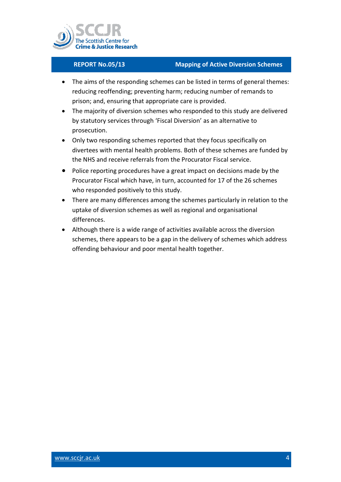

- The aims of the responding schemes can be listed in terms of general themes: reducing reoffending; preventing harm; reducing number of remands to prison; and, ensuring that appropriate care is provided.
- The majority of diversion schemes who responded to this study are delivered by statutory services through 'Fiscal Diversion' as an alternative to prosecution.
- Only two responding schemes reported that they focus specifically on divertees with mental health problems. Both of these schemes are funded by the NHS and receive referrals from the Procurator Fiscal service.
- Police reporting procedures have a great impact on decisions made by the Procurator Fiscal which have, in turn, accounted for 17 of the 26 schemes who responded positively to this study.
- There are many differences among the schemes particularly in relation to the uptake of diversion schemes as well as regional and organisational differences.
- Although there is a wide range of activities available across the diversion schemes, there appears to be a gap in the delivery of schemes which address offending behaviour and poor mental health together.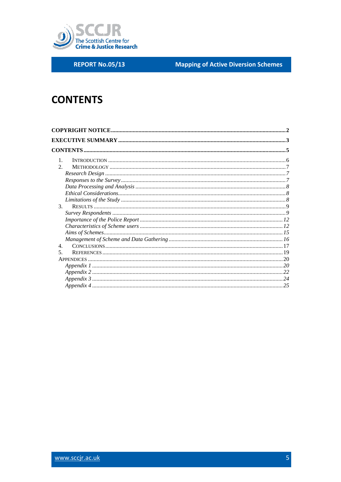

**REPORT No.05/13** 

**Mapping of Active Diversion Schemes** 

## <span id="page-4-0"></span>**CONTENTS**

| $\mathbf{1}$ .              |  |
|-----------------------------|--|
| $\mathcal{D}_{\mathcal{L}}$ |  |
|                             |  |
|                             |  |
|                             |  |
|                             |  |
|                             |  |
| 3 <sub>1</sub>              |  |
|                             |  |
|                             |  |
|                             |  |
|                             |  |
|                             |  |
| 4.                          |  |
| $\overline{\mathbf{5}}$     |  |
|                             |  |
|                             |  |
|                             |  |
|                             |  |
|                             |  |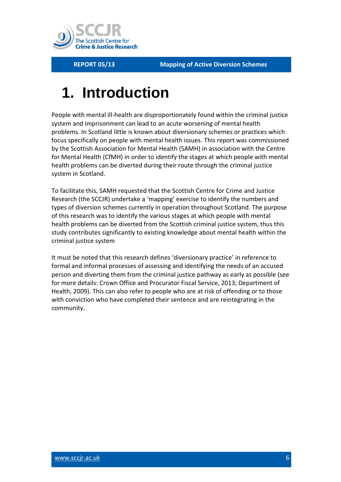

## <span id="page-5-0"></span>**1. Introduction**

People with mental ill-health are disproportionately found within the criminal justice system and imprisonment can lead to an acute worsening of mental health problems. In Scotland little is known about diversionary schemes or practices which focus specifically on people with mental health issues. This report was commissioned by the Scottish Association for Mental Health (SAMH) in association with the Centre for Mental Health (CfMH) in order to identify the stages at which people with mental health problems can be diverted during their route through the criminal justice system in Scotland.

To facilitate this, SAMH requested that the Scottish Centre for Crime and Justice Research (the SCCJR) undertake a 'mapping' exercise to identify the numbers and types of diversion schemes currently in operation throughout Scotland. The purpose of this research was to identify the various stages at which people with mental health problems can be diverted from the Scottish criminal justice system, thus this study contributes significantly to existing knowledge about mental health within the criminal justice system

It must be noted that this research defines 'diversionary practice' in reference to formal and informal processes of assessing and identifying the needs of an accused person and diverting them from the criminal justice pathway as early as possible (see for more details: Crown Office and Procurator Fiscal Service, 2013; Department of Health, 2009). This can also refer to people who are at risk of offending or to those with conviction who have completed their sentence and are reintegrating in the community.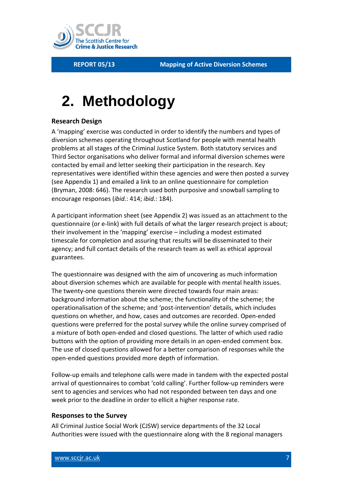

# <span id="page-6-0"></span>**2. Methodology**

### <span id="page-6-1"></span>**Research Design**

A 'mapping' exercise was conducted in order to identify the numbers and types of diversion schemes operating throughout Scotland for people with mental health problems at all stages of the Criminal Justice System. Both statutory services and Third Sector organisations who deliver formal and informal diversion schemes were contacted by email and letter seeking their participation in the research. Key representatives were identified within these agencies and were then posted a survey (see Appendix 1) and emailed a link to an online questionnaire for completion (Bryman, 2008: 646). The research used both purposive and snowball sampling to encourage responses (*ibid.*: 414; *ibid.*: 184).

A participant information sheet (see Appendix 2) was issued as an attachment to the questionnaire (or e-link) with full details of what the larger research project is about; their involvement in the 'mapping' exercise – including a modest estimated timescale for completion and assuring that results will be disseminated to their agency; and full contact details of the research team as well as ethical approval guarantees.

The questionnaire was designed with the aim of uncovering as much information about diversion schemes which are available for people with mental health issues. The twenty-one questions therein were directed towards four main areas: background information about the scheme; the functionality of the scheme; the operationalisation of the scheme; and 'post-intervention' details, which includes questions on whether, and how, cases and outcomes are recorded. Open-ended questions were preferred for the postal survey while the online survey comprised of a mixture of both open-ended and closed questions. The latter of which used radio buttons with the option of providing more details in an open-ended comment box. The use of closed questions allowed for a better comparison of responses while the open-ended questions provided more depth of information.

Follow-up emails and telephone calls were made in tandem with the expected postal arrival of questionnaires to combat 'cold calling'. Further follow-up reminders were sent to agencies and services who had not responded between ten days and one week prior to the deadline in order to ellicit a higher response rate.

#### <span id="page-6-2"></span>**Responses to the Survey**

All Criminal Justice Social Work (CJSW) service departments of the 32 Local Authorities were issued with the questionnaire along with the 8 regional managers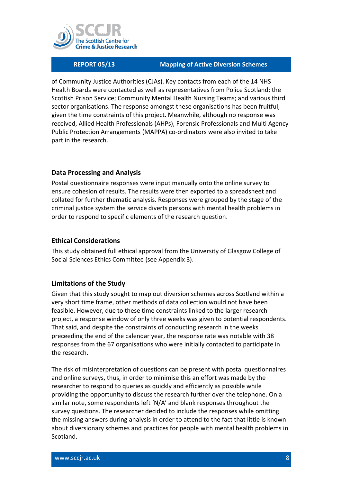

of Community Justice Authorities (CJAs). Key contacts from each of the 14 NHS Health Boards were contacted as well as representatives from Police Scotland; the Scottish Prison Service; Community Mental Health Nursing Teams; and various third sector organisations. The response amongst these organisations has been fruitful, given the time constraints of this project. Meanwhile, although no response was received, Allied Health Professionals (AHPs), Forensic Professionals and Multi Agency Public Protection Arrangements (MAPPA) co-ordinators were also invited to take part in the research.

### <span id="page-7-0"></span>**Data Processing and Analysis**

Postal questionnaire responses were input manually onto the online survey to ensure cohesion of results. The results were then exported to a spreadsheet and collated for further thematic analysis. Responses were grouped by the stage of the criminal justice system the service diverts persons with mental health problems in order to respond to specific elements of the research question.

#### <span id="page-7-1"></span>**Ethical Considerations**

This study obtained full ethical approval from the University of Glasgow College of Social Sciences Ethics Committee (see Appendix 3).

### <span id="page-7-2"></span>**Limitations of the Study**

Given that this study sought to map out diversion schemes across Scotland within a very short time frame, other methods of data collection would not have been feasibIe. However, due to these time constraints linked to the larger research project, a response window of only three weeks was given to potential respondents. That said, and despite the constraints of conducting research in the weeks preceeding the end of the calendar year, the response rate was notable with 38 responses from the 67 organisations who were initially contacted to participate in the research.

The risk of misinterpretation of questions can be present with postal questionnaires and online surveys, thus, in order to minimise this an effort was made by the researcher to respond to queries as quickly and efficiently as possible while providing the opportunity to discuss the research further over the telephone. On a similar note, some respondents left 'N/A' and blank responses throughout the survey questions. The researcher decided to include the responses while omitting the missing answers during analysis in order to attend to the fact that little is known about diversionary schemes and practices for people with mental health problems in Scotland.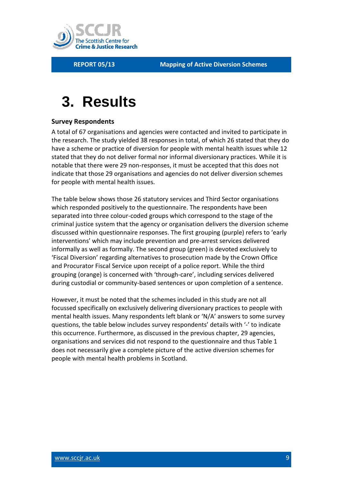

## <span id="page-8-0"></span>**3. Results**

### <span id="page-8-1"></span>**Survey Respondents**

A total of 67 organisations and agencies were contacted and invited to participate in the research. The study yielded 38 responses in total, of which 26 stated that they do have a scheme or practice of diversion for people with mental health issues while 12 stated that they do not deliver formal nor informal diversionary practices. While it is notable that there were 29 non-responses, it must be accepted that this does not indicate that those 29 organisations and agencies do not deliver diversion schemes for people with mental health issues.

The table below shows those 26 statutory services and Third Sector organisations which responded positively to the questionnaire. The respondents have been separated into three colour-coded groups which correspond to the stage of the criminal justice system that the agency or organisation delivers the diversion scheme discussed within questionnaire responses. The first grouping (purple) refers to 'early interventions' which may include prevention and pre-arrest services delivered informally as well as formally. The second group (green) is devoted exclusively to 'Fiscal Diversion' regarding alternatives to prosecution made by the Crown Office and Procurator Fiscal Service upon receipt of a police report. While the third grouping (orange) is concerned with 'through-care', including services delivered during custodial or community-based sentences or upon completion of a sentence.

However, it must be noted that the schemes included in this study are not all focussed specifically on exclusively delivering diversionary practices to people with mental health issues. Many respondents left blank or 'N/A' answers to some survey questions, the table below includes survey respondents' details with '-' to indicate this occurrence. Furthermore, as discussed in the previous chapter, 29 agencies, organisations and services did not respond to the questionnaire and thus Table 1 does not necessarily give a complete picture of the active diversion schemes for people with mental health problems in Scotland.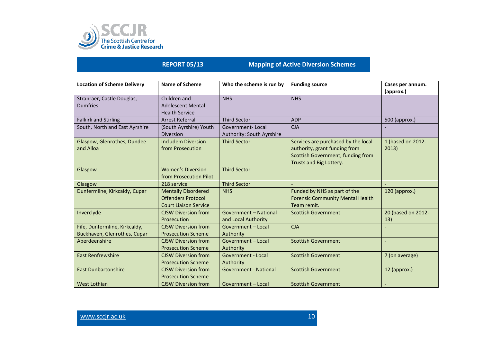

| <b>Location of Scheme Delivery</b>                            | <b>Name of Scheme</b>                                                                   | Who the scheme is run by                             | <b>Funding source</b>                                                                                                                | Cases per annum.<br>(approx.) |
|---------------------------------------------------------------|-----------------------------------------------------------------------------------------|------------------------------------------------------|--------------------------------------------------------------------------------------------------------------------------------------|-------------------------------|
| Stranraer, Castle Douglas,<br><b>Dumfries</b>                 | Children and<br>Adolescent Mental<br><b>Health Service</b>                              | <b>NHS</b>                                           | <b>NHS</b>                                                                                                                           |                               |
| <b>Falkirk and Stirling</b>                                   | <b>Arrest Referral</b>                                                                  | <b>Third Sector</b>                                  | <b>ADP</b>                                                                                                                           | 500 (approx.)                 |
| South, North and East Ayrshire                                | (South Ayrshire) Youth<br><b>Diversion</b>                                              | <b>Government-Local</b><br>Authority: South Ayrshire | <b>CJA</b>                                                                                                                           |                               |
| Glasgow, Glenrothes, Dundee<br>and Alloa                      | <b>Includem Diversion</b><br>from Prosecution                                           | <b>Third Sector</b>                                  | Services are purchased by the local<br>authority, grant funding from<br>Scottish Government, funding from<br>Trusts and Big Lottery. | 1 (based on 2012-<br>2013)    |
| Glasgow                                                       | <b>Women's Diversion</b><br>from Prosecution Pilot                                      | <b>Third Sector</b>                                  |                                                                                                                                      |                               |
| Glasgow                                                       | 218 service                                                                             | <b>Third Sector</b>                                  |                                                                                                                                      |                               |
| Dunfermline, Kirkcaldy, Cupar                                 | <b>Mentally Disordered</b><br><b>Offenders Protocol</b><br><b>Court Liaison Service</b> | <b>NHS</b>                                           | Funded by NHS as part of the<br><b>Forensic Community Mental Health</b><br>Team remit.                                               | $120$ (approx.)               |
| Inverclyde                                                    | <b>CJSW Diversion from</b><br>Prosecution                                               | Government - National<br>and Local Authority         | <b>Scottish Government</b>                                                                                                           | 20 (based on 2012-<br>13)     |
| Fife, Dunfermline, Kirkcaldy,<br>Buckhaven, Glenrothes, Cupar | <b>CJSW Diversion from</b><br><b>Prosecution Scheme</b>                                 | Government - Local<br>Authority                      | <b>CJA</b>                                                                                                                           |                               |
| Aberdeenshire                                                 | <b>CJSW Diversion from</b><br><b>Prosecution Scheme</b>                                 | Government - Local<br>Authority                      | <b>Scottish Government</b>                                                                                                           |                               |
| <b>East Renfrewshire</b>                                      | <b>CJSW Diversion from</b><br><b>Prosecution Scheme</b>                                 | <b>Government - Local</b><br>Authority               | <b>Scottish Government</b>                                                                                                           | 7 (on average)                |
| <b>East Dunbartonshire</b>                                    | <b>CJSW Diversion from</b><br><b>Prosecution Scheme</b>                                 | <b>Government - National</b>                         | <b>Scottish Government</b>                                                                                                           | 12 (approx.)                  |
| <b>West Lothian</b>                                           | <b>CJSW Diversion from</b>                                                              | Government - Local                                   | <b>Scottish Government</b>                                                                                                           |                               |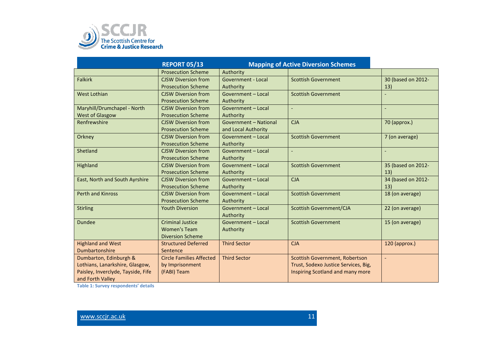

|                                    | <b>REPORT 05/13</b>             | <b>Mapping of Active Diversion Schemes</b> |                                       |                    |
|------------------------------------|---------------------------------|--------------------------------------------|---------------------------------------|--------------------|
|                                    | <b>Prosecution Scheme</b>       | Authority                                  |                                       |                    |
| <b>Falkirk</b>                     | <b>CJSW Diversion from</b>      | <b>Government - Local</b>                  | <b>Scottish Government</b>            | 30 (based on 2012- |
|                                    | <b>Prosecution Scheme</b>       | Authority                                  |                                       | 13)                |
| <b>West Lothian</b>                | <b>CJSW Diversion from</b>      | Government - Local                         | <b>Scottish Government</b>            |                    |
|                                    | <b>Prosecution Scheme</b>       | Authority                                  |                                       |                    |
| Maryhill/Drumchapel - North        | <b>CJSW Diversion from</b>      | Government - Local                         | $\blacksquare$                        |                    |
| <b>West of Glasgow</b>             | <b>Prosecution Scheme</b>       | Authority                                  |                                       |                    |
| Renfrewshire                       | <b>CJSW Diversion from</b>      | Government - National                      | <b>CJA</b>                            | 70 (approx.)       |
|                                    | <b>Prosecution Scheme</b>       | and Local Authority                        |                                       |                    |
| Orkney                             | <b>CJSW Diversion from</b>      | Government - Local                         | <b>Scottish Government</b>            | 7 (on average)     |
|                                    | <b>Prosecution Scheme</b>       | Authority                                  |                                       |                    |
| Shetland                           | <b>CJSW Diversion from</b>      | Government - Local                         | $\overline{\phantom{a}}$              |                    |
|                                    | <b>Prosecution Scheme</b>       | Authority                                  |                                       |                    |
| Highland                           | <b>CJSW Diversion from</b>      | Government - Local                         | <b>Scottish Government</b>            | 35 (based on 2012- |
|                                    | <b>Prosecution Scheme</b>       | Authority                                  |                                       | 13)                |
| East, North and South Ayrshire     | <b>CJSW Diversion from</b>      | Government - Local                         | <b>CJA</b>                            | 34 (based on 2012- |
|                                    | <b>Prosecution Scheme</b>       | Authority                                  |                                       | 13)                |
| <b>Perth and Kinross</b>           | <b>CJSW Diversion from</b>      | Government - Local                         | <b>Scottish Government</b>            | 18 (on average)    |
|                                    | <b>Prosecution Scheme</b>       | Authority                                  |                                       |                    |
| <b>Stirling</b>                    | <b>Youth Diversion</b>          | Government - Local                         | <b>Scottish Government/CJA</b>        | 22 (on average)    |
|                                    |                                 | Authority                                  |                                       |                    |
| <b>Dundee</b>                      | <b>Criminal Justice</b>         | Government - Local                         | <b>Scottish Government</b>            | 15 (on average)    |
|                                    | <b>Women's Team</b>             | Authority                                  |                                       |                    |
|                                    | <b>Diversion Scheme</b>         |                                            |                                       |                    |
| <b>Highland and West</b>           | <b>Structured Deferred</b>      | <b>Third Sector</b>                        | <b>CJA</b>                            | 120 (approx.)      |
| Dumbartonshire                     | Sentence                        |                                            |                                       |                    |
| Dumbarton, Edinburgh &             | <b>Circle Families Affected</b> | <b>Third Sector</b>                        | <b>Scottish Government, Robertson</b> | $\blacksquare$     |
| Lothians, Lanarkshire, Glasgow,    | by Imprisonment                 |                                            | Trust, Sodexo Justice Services, Big,  |                    |
| Paisley, Inverclyde, Tayside, Fife | (FABI) Team                     |                                            | Inspiring Scotland and many more      |                    |
| and Forth Valley                   |                                 |                                            |                                       |                    |

**Table 1: Survey respondents' details**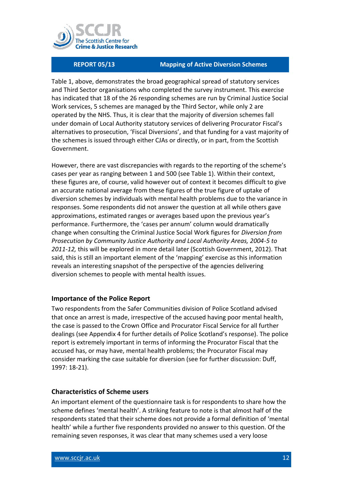

Table 1, above, demonstrates the broad geographical spread of statutory services and Third Sector organisations who completed the survey instrument. This exercise has indicated that 18 of the 26 responding schemes are run by Criminal Justice Social Work services, 5 schemes are managed by the Third Sector, while only 2 are operated by the NHS. Thus, it is clear that the majority of diversion schemes fall under domain of Local Authority statutory services of delivering Procurator Fiscal's alternatives to prosecution, 'Fiscal Diversions', and that funding for a vast majority of the schemes is issued through either CJAs or directly, or in part, from the Scottish Government.

However, there are vast discrepancies with regards to the reporting of the scheme's cases per year as ranging between 1 and 500 (see Table 1). Within their context, these figures are, of course, valid however out of context it becomes difficult to give an accurate national average from these figures of the true figure of uptake of diversion schemes by individuals with mental health problems due to the variance in responses. Some respondents did not answer the question at all while others gave approximations, estimated ranges or averages based upon the previous year's performance. Furthermore, the 'cases per annum' column would dramatically change when consulting the Criminal Justice Social Work figures for *Diversion from Prosecution by Community Justice Authority and Local Authority Areas, 2004-5 to 2011-12,* this will be explored in more detail later (Scottish Government, 2012). That said, this is still an important element of the 'mapping' exercise as this information reveals an interesting snapshot of the perspective of the agencies delivering diversion schemes to people with mental health issues.

#### <span id="page-11-0"></span>**Importance of the Police Report**

Two respondents from the Safer Communities division of Police Scotland advised that once an arrest is made, irrespective of the accused having poor mental health, the case is passed to the Crown Office and Procurator Fiscal Service for all further dealings (see Appendix 4 for further details of Police Scotland's response). The police report is extremely important in terms of informing the Procurator Fiscal that the accused has, or may have, mental health problems; the Procurator Fiscal may consider marking the case suitable for diversion (see for further discussion: Duff, 1997: 18-21).

#### <span id="page-11-1"></span>**Characteristics of Scheme users**

An important element of the questionnaire task is for respondents to share how the scheme defines 'mental health'. A striking feature to note is that almost half of the respondents stated that their scheme does not provide a formal definition of 'mental health' while a further five respondents provided no answer to this question. Of the remaining seven responses, it was clear that many schemes used a very loose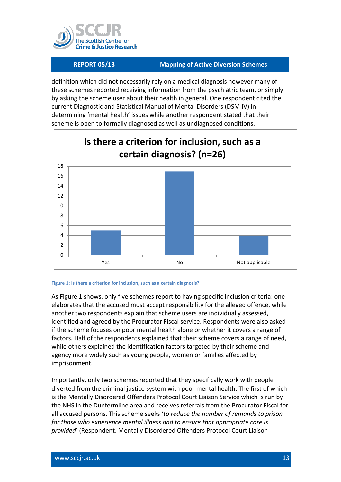

definition which did not necessarily rely on a medical diagnosis however many of these schemes reported receiving information from the psychiatric team, or simply by asking the scheme user about their health in general. One respondent cited the current Diagnostic and Statistical Manual of Mental Disorders (DSM IV) in determining 'mental health' issues while another respondent stated that their scheme is open to formally diagnosed as well as undiagnosed conditions.



#### **Figure 1: Is there a criterion for inclusion, such as a certain diagnosis?**

As Figure 1 shows, only five schemes report to having specific inclusion criteria; one elaborates that the accused must accept responsibility for the alleged offence, while another two respondents explain that scheme users are individually assessed, identified and agreed by the Procurator Fiscal service. Respondents were also asked if the scheme focuses on poor mental health alone or whether it covers a range of factors. Half of the respondents explained that their scheme covers a range of need, while others explained the identification factors targeted by their scheme and agency more widely such as young people, women or families affected by imprisonment.

Importantly, only two schemes reported that they specifically work with people diverted from the criminal justice system with poor mental health. The first of which is the Mentally Disordered Offenders Protocol Court Liaison Service which is run by the NHS in the Dunfermline area and receives referrals from the Procurator Fiscal for all accused persons. This scheme seeks '*to reduce the number of remands to prison for those who experience mental illness and to ensure that appropriate care is provided*' (Respondent, Mentally Disordered Offenders Protocol Court Liaison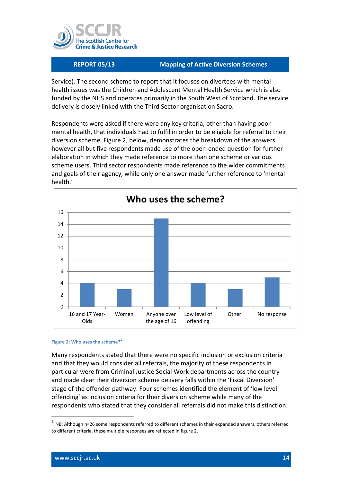

Service). The second scheme to report that it focuses on divertees with mental health issues was the Children and Adolescent Mental Health Service which is also funded by the NHS and operates primarily in the South West of Scotland. The service delivery is closely linked with the Third Sector organisation Sacro.

Respondents were asked if there were any key criteria, other than having poor mental health, that individuals had to fulfil in order to be eligible for referral to their diversion scheme. Figure 2, below, demonstrates the breakdown of the answers however all but five respondents made use of the open-ended question for further elaboration in which they made reference to more than one scheme or various scheme users. Third sector respondents made reference to the wider commitments and goals of their agency, while only one answer made further reference to 'mental health.'



#### **Figure 2: Who uses the scheme?<sup>1</sup>**

Many respondents stated that there were no specific inclusion or exclusion criteria and that they would consider all referrals, the majority of these respondents in particular were from Criminal Justice Social Work departments across the country and made clear their diversion scheme delivery falls within the 'Fiscal Diversion' stage of the offender pathway. Four schemes identified the element of 'low level offending' as inclusion criteria for their diversion scheme while many of the respondents who stated that they consider all referrals did not make this distinction.

-

 $<sup>1</sup>$  NB: Although n=26 some respondents referred to different schemes in their expanded answers, others referred</sup> to different criteria, these multiple responses are reflected in figure 2.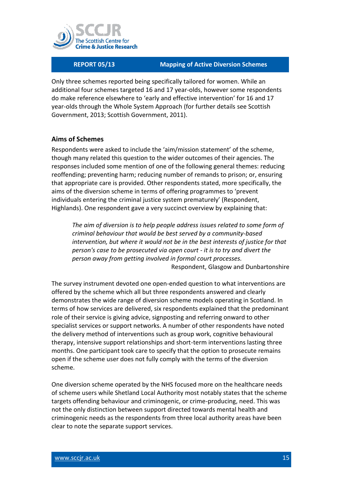

Only three schemes reported being specifically tailored for women. While an additional four schemes targeted 16 and 17 year-olds, however some respondents do make reference elsewhere to 'early and effective intervention' for 16 and 17 year-olds through the Whole System Approach (for further details see Scottish Government, 2013; Scottish Government, 2011).

### <span id="page-14-0"></span>**Aims of Schemes**

Respondents were asked to include the 'aim/mission statement' of the scheme, though many related this question to the wider outcomes of their agencies. The responses included some mention of one of the following general themes: reducing reoffending; preventing harm; reducing number of remands to prison; or, ensuring that appropriate care is provided. Other respondents stated, more specifically, the aims of the diversion scheme in terms of offering programmes to 'prevent individuals entering the criminal justice system prematurely' (Respondent, Highlands). One respondent gave a very succinct overview by explaining that:

*The aim of diversion is to help people address issues related to some form of criminal behaviour that would be best served by a community-based intervention, but where it would not be in the best interests of justice for that person's case to be prosecuted via open court - it is to try and divert the person away from getting involved in formal court processes.* Respondent, Glasgow and Dunbartonshire

The survey instrument devoted one open-ended question to what interventions are offered by the scheme which all but three respondents answered and clearly demonstrates the wide range of diversion scheme models operating in Scotland. In terms of how services are delivered, six respondents explained that the predominant role of their service is giving advice, signposting and referring onward to other specialist services or support networks. A number of other respondents have noted the delivery method of interventions such as group work, cognitive behavioural therapy, intensive support relationships and short-term interventions lasting three months. One participant took care to specify that the option to prosecute remains open if the scheme user does not fully comply with the terms of the diversion scheme.

One diversion scheme operated by the NHS focused more on the healthcare needs of scheme users while Shetland Local Authority most notably states that the scheme targets offending behaviour and criminogenic, or crime-producing, need. This was not the only distinction between support directed towards mental health and criminogenic needs as the respondents from three local authority areas have been clear to note the separate support services.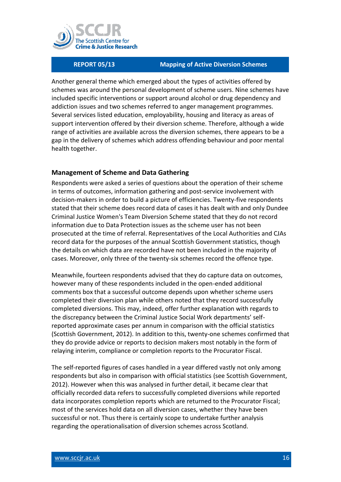

Another general theme which emerged about the types of activities offered by schemes was around the personal development of scheme users. Nine schemes have included specific interventions or support around alcohol or drug dependency and addiction issues and two schemes referred to anger management programmes. Several services listed education, employability, housing and literacy as areas of support intervention offered by their diversion scheme. Therefore, although a wide range of activities are available across the diversion schemes, there appears to be a gap in the delivery of schemes which address offending behaviour and poor mental health together.

### <span id="page-15-0"></span>**Management of Scheme and Data Gathering**

Respondents were asked a series of questions about the operation of their scheme in terms of outcomes, information gathering and post-service involvement with decision-makers in order to build a picture of efficiencies. Twenty-five respondents stated that their scheme does record data of cases it has dealt with and only Dundee Criminal Justice Women's Team Diversion Scheme stated that they do not record information due to Data Protection issues as the scheme user has not been prosecuted at the time of referral. Representatives of the Local Authorities and CJAs record data for the purposes of the annual Scottish Government statistics, though the details on which data are recorded have not been included in the majority of cases. Moreover, only three of the twenty-six schemes record the offence type.

Meanwhile, fourteen respondents advised that they do capture data on outcomes, however many of these respondents included in the open-ended additional comments box that a successful outcome depends upon whether scheme users completed their diversion plan while others noted that they record successfully completed diversions. This may, indeed, offer further explanation with regards to the discrepancy between the Criminal Justice Social Work departments' selfreported approximate cases per annum in comparison with the official statistics (Scottish Government, 2012). In addition to this, twenty-one schemes confirmed that they do provide advice or reports to decision makers most notably in the form of relaying interim, compliance or completion reports to the Procurator Fiscal.

The self-reported figures of cases handled in a year differed vastly not only among respondents but also in comparison with official statistics (see Scottish Government, 2012). However when this was analysed in further detail, it became clear that officially recorded data refers to successfully completed diversions while reported data incorporates completion reports which are returned to the Procurator Fiscal; most of the services hold data on all diversion cases, whether they have been successful or not. Thus there is certainly scope to undertake further analysis regarding the operationalisation of diversion schemes across Scotland.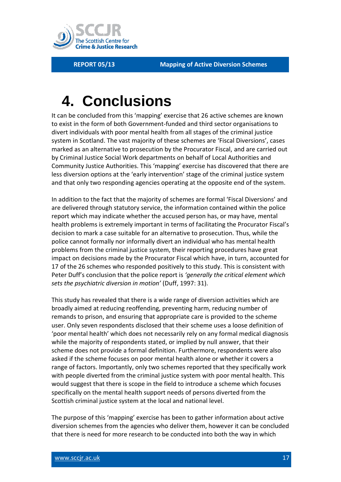

## <span id="page-16-0"></span>**4. Conclusions**

It can be concluded from this 'mapping' exercise that 26 active schemes are known to exist in the form of both Government-funded and third sector organisations to divert individuals with poor mental health from all stages of the criminal justice system in Scotland. The vast majority of these schemes are 'Fiscal Diversions', cases marked as an alternative to prosecution by the Procurator Fiscal, and are carried out by Criminal Justice Social Work departments on behalf of Local Authorities and Community Justice Authorities. This 'mapping' exercise has discovered that there are less diversion options at the 'early intervention' stage of the criminal justice system and that only two responding agencies operating at the opposite end of the system.

In addition to the fact that the majority of schemes are formal 'Fiscal Diversions' and are delivered through statutory service, the information contained within the police report which may indicate whether the accused person has, or may have, mental health problems is extremely important in terms of facilitating the Procurator Fiscal's decision to mark a case suitable for an alternative to prosecution. Thus, while the police cannot formally nor informally divert an individual who has mental health problems from the criminal justice system, their reporting procedures have great impact on decisions made by the Procurator Fiscal which have, in turn, accounted for 17 of the 26 schemes who responded positively to this study. This is consistent with Peter Duff's conclusion that the police report is *'generally the critical element which sets the psychiatric diversion in motion'* (Duff, 1997: 31).

This study has revealed that there is a wide range of diversion activities which are broadly aimed at reducing reoffending, preventing harm, reducing number of remands to prison, and ensuring that appropriate care is provided to the scheme user. Only seven respondents disclosed that their scheme uses a loose definition of 'poor mental health' which does not necessarily rely on any formal medical diagnosis while the majority of respondents stated, or implied by null answer, that their scheme does not provide a formal definition. Furthermore, respondents were also asked if the scheme focuses on poor mental health alone or whether it covers a range of factors. Importantly, only two schemes reported that they specifically work with people diverted from the criminal justice system with poor mental health. This would suggest that there is scope in the field to introduce a scheme which focuses specifically on the mental health support needs of persons diverted from the Scottish criminal justice system at the local and national level.

The purpose of this 'mapping' exercise has been to gather information about active diversion schemes from the agencies who deliver them, however it can be concluded that there is need for more research to be conducted into both the way in which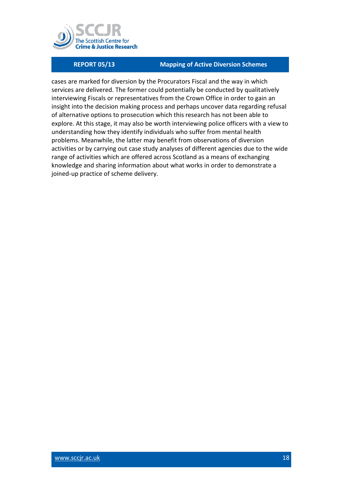

cases are marked for diversion by the Procurators Fiscal and the way in which services are delivered. The former could potentially be conducted by qualitatively interviewing Fiscals or representatives from the Crown Office in order to gain an insight into the decision making process and perhaps uncover data regarding refusal of alternative options to prosecution which this research has not been able to explore. At this stage, it may also be worth interviewing police officers with a view to understanding how they identify individuals who suffer from mental health problems. Meanwhile, the latter may benefit from observations of diversion activities or by carrying out case study analyses of different agencies due to the wide range of activities which are offered across Scotland as a means of exchanging knowledge and sharing information about what works in order to demonstrate a joined-up practice of scheme delivery.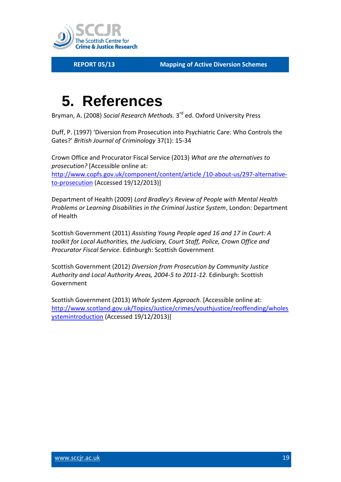

## <span id="page-18-0"></span>**5. References**

Bryman, A. (2008) *Social Research Methods.* 3 rd ed. Oxford University Press

Duff, P. (1997) 'Diversion from Prosecution into Psychiatric Care: Who Controls the Gates?' *British Journal of Criminology* 37(1): 15-34

Crown Office and Procurator Fiscal Service (2013) *What are the alternatives to prosecution?* [Accessible online at: [http://www.copfs.gov.uk/component/content/article /10-about-us/297-alternative](http://www.copfs.gov.uk/component/content/article%20/10-about-us/297-alternative-to-prosecution)[to-prosecution](http://www.copfs.gov.uk/component/content/article%20/10-about-us/297-alternative-to-prosecution) (Accessed 19/12/2013)]

Department of Health (2009) *Lord Bradley's Review of People with Mental Health Problems or Learning Disabilities in the Criminal Justice System*, London: Department of Health

Scottish Government (2011) *Assisting Young People aged 16 and 17 in Court: A toolkit for Local Authorities, the Judiciary, Court Staff, Police, Crown Office and Procurator Fiscal Service.* Edinburgh: Scottish Government

Scottish Government (2012) *Diversion from Prosecution by Community Justice Authority and Local Authority Areas, 2004-5 to 2011-12.* Edinburgh: Scottish Government

Scottish Government (2013) *Whole System Approach.* [Accessible online at: [http://www.scotland.gov.uk/Topics/Justice/crimes/youthjustice/reoffending/wholes](http://www.scotland.gov.uk/Topics/Justice/crimes/youthjustice/reoffending/wholesystemintroduction) [ystemintroduction](http://www.scotland.gov.uk/Topics/Justice/crimes/youthjustice/reoffending/wholesystemintroduction) (Accessed 19/12/2013)]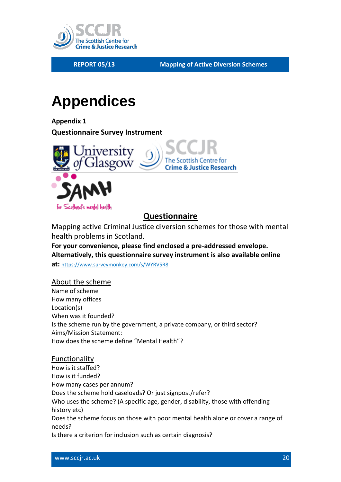

# <span id="page-19-0"></span>**Appendices**

<span id="page-19-1"></span>**Appendix 1 Questionnaire Survey Instrument**



## **Questionnaire**

Mapping active Criminal Justice diversion schemes for those with mental health problems in Scotland.

**For your convenience, please find enclosed a pre-addressed envelope. Alternatively, this questionnaire survey instrument is also available online** 

**at:** [https://www.surveymonkey.com/s/WYRV5R8](https://mail.student.gla.ac.uk/owa/redir.aspx?C=ei3eX7m1w06TFzzgLNsWKm-3hEAwr9BIKu35gNjAvr7E8QB53EkSeHhYscebn8-M9PcPxBn-5Ds.&URL=https%3a%2f%2fwww.surveymonkey.com%2fs%2fWYRV5R8)

### About the scheme

Name of scheme How many offices Location(s) When was it founded? Is the scheme run by the government, a private company, or third sector? Aims/Mission Statement: How does the scheme define "Mental Health"?

### Functionality

How is it staffed? How is it funded? How many cases per annum? Does the scheme hold caseloads? Or just signpost/refer? Who uses the scheme? (A specific age, gender, disability, those with offending history etc) Does the scheme focus on those with poor mental health alone or cover a range of needs? Is there a criterion for inclusion such as certain diagnosis?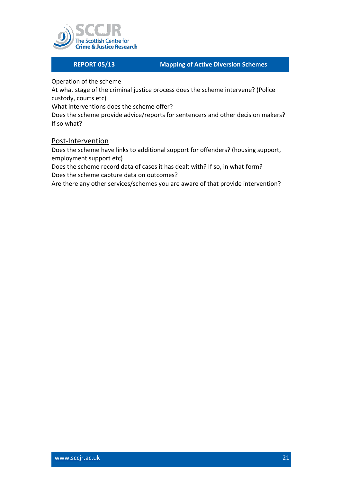

Operation of the scheme

At what stage of the criminal justice process does the scheme intervene? (Police custody, courts etc)

What interventions does the scheme offer?

Does the scheme provide advice/reports for sentencers and other decision makers? If so what?

### Post-Intervention

Does the scheme have links to additional support for offenders? (housing support, employment support etc)

Does the scheme record data of cases it has dealt with? If so, in what form? Does the scheme capture data on outcomes?

Are there any other services/schemes you are aware of that provide intervention?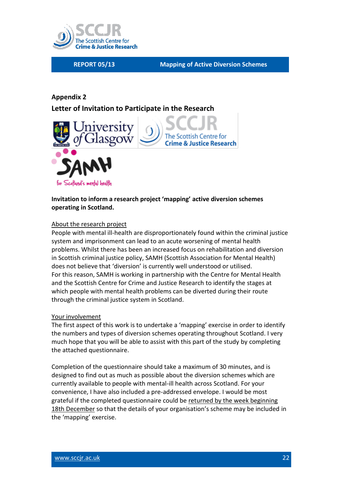

## <span id="page-21-0"></span>**Appendix 2 Letter of Invitation to Participate in the Research**



### **Invitation to inform a research project 'mapping' active diversion schemes operating in Scotland.**

#### About the research project

People with mental ill-health are disproportionately found within the criminal justice system and imprisonment can lead to an acute worsening of mental health problems. Whilst there has been an increased focus on rehabilitation and diversion in Scottish criminal justice policy, SAMH (Scottish Association for Mental Health) does not believe that 'diversion' is currently well understood or utilised. For this reason, SAMH is working in partnership with the Centre for Mental Health and the Scottish Centre for Crime and Justice Research to identify the stages at which people with mental health problems can be diverted during their route through the criminal justice system in Scotland.

#### Your involvement

The first aspect of this work is to undertake a 'mapping' exercise in order to identify the numbers and types of diversion schemes operating throughout Scotland. I very much hope that you will be able to assist with this part of the study by completing the attached questionnaire.

Completion of the questionnaire should take a maximum of 30 minutes, and is designed to find out as much as possible about the diversion schemes which are currently available to people with mental-ill health across Scotland. For your convenience, I have also included a pre-addressed envelope. I would be most grateful if the completed questionnaire could be returned by the week beginning 18th December so that the details of your organisation's scheme may be included in the 'mapping' exercise.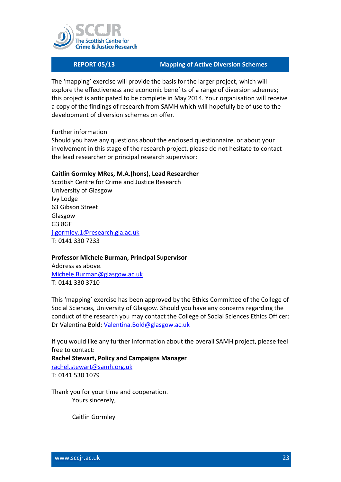

The 'mapping' exercise will provide the basis for the larger project, which will explore the effectiveness and economic benefits of a range of diversion schemes; this project is anticipated to be complete in May 2014. Your organisation will receive a copy of the findings of research from SAMH which will hopefully be of use to the development of diversion schemes on offer.

#### Further information

Should you have any questions about the enclosed questionnaire, or about your involvement in this stage of the research project, please do not hesitate to contact the lead researcher or principal research supervisor:

#### **Caitlin Gormley MRes, M.A.(hons), Lead Researcher**

Scottish Centre for Crime and Justice Research University of Glasgow Ivy Lodge 63 Gibson Street Glasgow G3 8GF [j.gormley.1@research.gla.ac.uk](mailto:j.gormley.1@research.gla.ac.uk) T: 0141 330 7233

#### **Professor Michele Burman, Principal Supervisor**

Address as above. [Michele.Burman@glasgow.ac.uk](mailto:Michele.Burman@glasgow.ac.uk) T: 0141 330 3710

This 'mapping' exercise has been approved by the Ethics Committee of the College of Social Sciences, University of Glasgow. Should you have any concerns regarding the conduct of the research you may contact the College of Social Sciences Ethics Officer: Dr Valentina Bold: [Valentina.Bold@glasgow.ac.uk](mailto:Valentina.Bold@glasgow.ac.uk)

If you would like any further information about the overall SAMH project, please feel free to contact: **Rachel Stewart, Policy and Campaigns Manager** [rachel.stewart@samh.org.uk](mailto:rachel.Stewart@samh.org.uk)

T: 0141 530 1079

Thank you for your time and cooperation. Yours sincerely,

Caitlin Gormley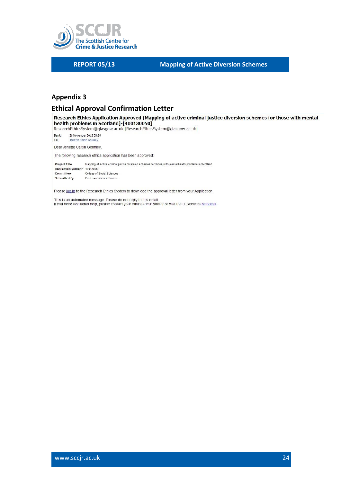

### <span id="page-23-0"></span>**Appendix 3**

### **Ethical Approval Confirmation Letter**

Research Ethics Application Approved [Mapping of active criminal justice diversion schemes for those with mental health problems in Scotland]-[400130050] ResearchEthicsSystem@glasgow.ac.uk [ResearchEthicsSystem@glasgow.ac.uk] Sent: 26 November 2013 08:54 To: Jenette Caitlin Gormley Dear Jenette Caitlin Gormley, The following research ethics application has been approved: Mapping of active criminal justice diversion schemes for those with mental health problems in Scotland Project Title Application Number 400130050 Committee College of Social Sciences Submitted By Professor Michele Burman

Please log in to the Research Ethics System to download the approval letter from your Application.

This is an automated message. Please do not reply to this email.<br>If you need additional help, please contact your ethics administrator or visit the IT Services helpdesk.